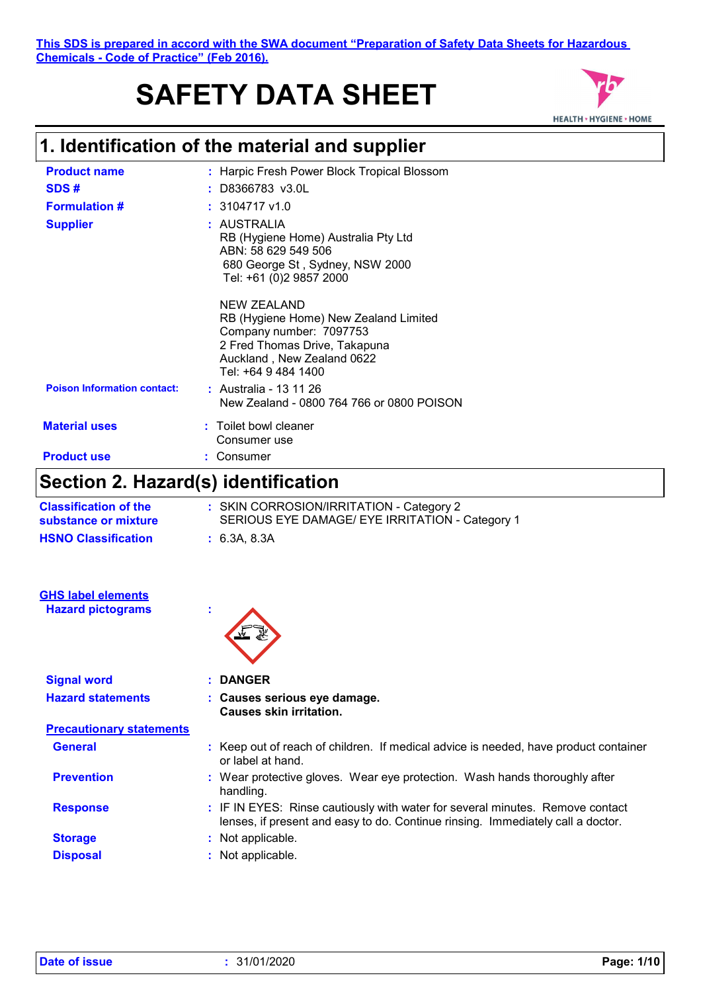# **SAFETY DATA SHEET**



### **1. Identification of the material and supplier**

| .<br>.                             | .                                                                                                                                                                            |
|------------------------------------|------------------------------------------------------------------------------------------------------------------------------------------------------------------------------|
| <b>Product use</b>                 | Consumer                                                                                                                                                                     |
| <b>Material uses</b>               | : Toilet bowl cleaner<br>Consumer use                                                                                                                                        |
| <b>Poison Information contact:</b> | : Australia - 13 11 26<br>New Zealand - 0800 764 766 or 0800 POISON                                                                                                          |
|                                    | <b>NEW ZEALAND</b><br>RB (Hygiene Home) New Zealand Limited<br>Company number: 7097753<br>2 Fred Thomas Drive, Takapuna<br>Auckland, New Zealand 0622<br>Tel: +64 9 484 1400 |
| <b>Supplier</b>                    | : AUSTRALIA<br>RB (Hygiene Home) Australia Pty Ltd<br>ABN: 58 629 549 506<br>680 George St, Sydney, NSW 2000<br>Tel: +61 (0)2 9857 2000                                      |
| <b>Formulation #</b>               | $: 3104717$ v1.0                                                                                                                                                             |
| SDS#                               | : D8366783 v3.0L                                                                                                                                                             |
| <b>Product name</b>                | : Harpic Fresh Power Block Tropical Blossom                                                                                                                                  |

### **Section 2. Hazard(s) identification**

| <b>Classification of the</b><br>substance or mixture  | : SKIN CORROSION/IRRITATION - Category 2<br>SERIOUS EYE DAMAGE/ EYE IRRITATION - Category 1 |
|-------------------------------------------------------|---------------------------------------------------------------------------------------------|
| <b>HSNO Classification</b>                            | : 6.3A, 8.3A                                                                                |
| <b>GHS label elements</b><br><b>Hazard pictograms</b> | ×                                                                                           |

| <b>Signal word</b>              | <b>DANGER</b>                                                                                                                                                    |  |
|---------------------------------|------------------------------------------------------------------------------------------------------------------------------------------------------------------|--|
| <b>Hazard statements</b>        | : Causes serious eye damage.<br><b>Causes skin irritation.</b>                                                                                                   |  |
| <b>Precautionary statements</b> |                                                                                                                                                                  |  |
| <b>General</b>                  | : Keep out of reach of children. If medical advice is needed, have product container<br>or label at hand.                                                        |  |
| <b>Prevention</b>               | : Wear protective gloves. Wear eye protection. Wash hands thoroughly after<br>handling.                                                                          |  |
| <b>Response</b>                 | : IF IN EYES: Rinse cautiously with water for several minutes. Remove contact<br>lenses, if present and easy to do. Continue rinsing. Immediately call a doctor. |  |
| <b>Storage</b>                  | : Not applicable.                                                                                                                                                |  |
| <b>Disposal</b>                 | : Not applicable.                                                                                                                                                |  |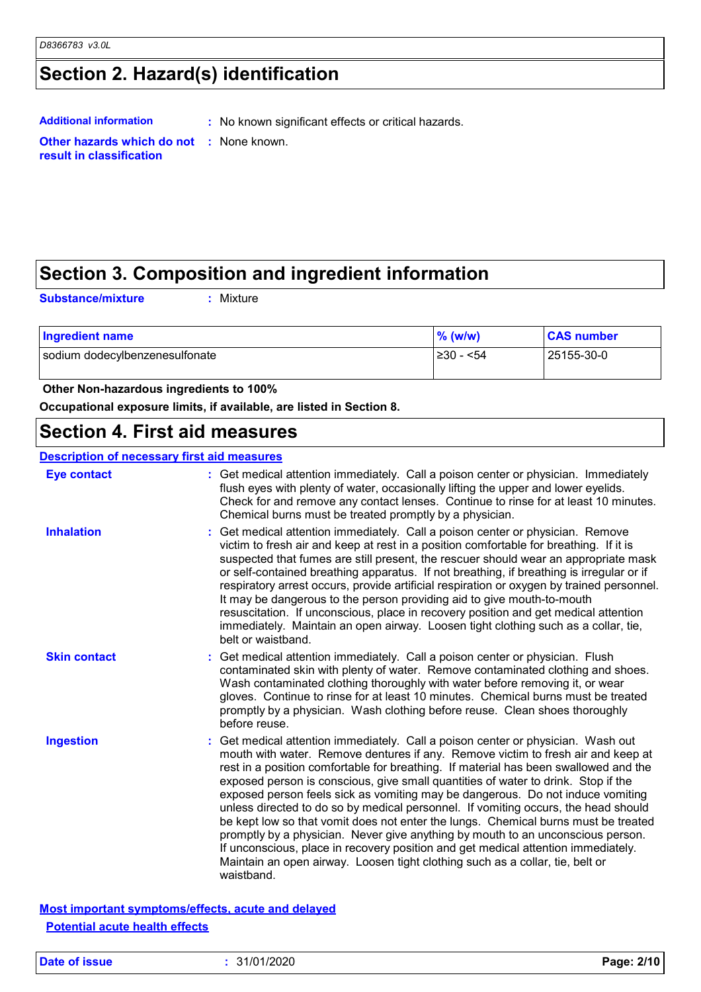### **Section 2. Hazard(s) identification**

**Additional information :** No known significant effects or critical hazards.

## **result in classification**

### **Other hazards which do not :** None known.

### **Section 3. Composition and ingredient information**

**Substance/mixture :**

Mixture

| Ingredient name                | % (w/w)    | <b>CAS number</b> |
|--------------------------------|------------|-------------------|
| sodium dodecylbenzenesulfonate | l≥30 - <54 | 25155-30-0        |

#### **Other Non-hazardous ingredients to 100%**

**Occupational exposure limits, if available, are listed in Section 8.**

### **Section 4. First aid measures**

| <b>Description of necessary first aid measures</b> |                                                                                                                                                                                                                                                                                                                                                                                                                                                                                                                                                                                                                                                                                                                                                                                                                                                                                        |  |  |
|----------------------------------------------------|----------------------------------------------------------------------------------------------------------------------------------------------------------------------------------------------------------------------------------------------------------------------------------------------------------------------------------------------------------------------------------------------------------------------------------------------------------------------------------------------------------------------------------------------------------------------------------------------------------------------------------------------------------------------------------------------------------------------------------------------------------------------------------------------------------------------------------------------------------------------------------------|--|--|
| <b>Eye contact</b>                                 | : Get medical attention immediately. Call a poison center or physician. Immediately<br>flush eyes with plenty of water, occasionally lifting the upper and lower eyelids.<br>Check for and remove any contact lenses. Continue to rinse for at least 10 minutes.<br>Chemical burns must be treated promptly by a physician.                                                                                                                                                                                                                                                                                                                                                                                                                                                                                                                                                            |  |  |
| <b>Inhalation</b>                                  | Get medical attention immediately. Call a poison center or physician. Remove<br>victim to fresh air and keep at rest in a position comfortable for breathing. If it is<br>suspected that fumes are still present, the rescuer should wear an appropriate mask<br>or self-contained breathing apparatus. If not breathing, if breathing is irregular or if<br>respiratory arrest occurs, provide artificial respiration or oxygen by trained personnel.<br>It may be dangerous to the person providing aid to give mouth-to-mouth<br>resuscitation. If unconscious, place in recovery position and get medical attention<br>immediately. Maintain an open airway. Loosen tight clothing such as a collar, tie,<br>belt or waistband.                                                                                                                                                    |  |  |
| <b>Skin contact</b>                                | Get medical attention immediately. Call a poison center or physician. Flush<br>contaminated skin with plenty of water. Remove contaminated clothing and shoes.<br>Wash contaminated clothing thoroughly with water before removing it, or wear<br>gloves. Continue to rinse for at least 10 minutes. Chemical burns must be treated<br>promptly by a physician. Wash clothing before reuse. Clean shoes thoroughly<br>before reuse.                                                                                                                                                                                                                                                                                                                                                                                                                                                    |  |  |
| <b>Ingestion</b>                                   | : Get medical attention immediately. Call a poison center or physician. Wash out<br>mouth with water. Remove dentures if any. Remove victim to fresh air and keep at<br>rest in a position comfortable for breathing. If material has been swallowed and the<br>exposed person is conscious, give small quantities of water to drink. Stop if the<br>exposed person feels sick as vomiting may be dangerous. Do not induce vomiting<br>unless directed to do so by medical personnel. If vomiting occurs, the head should<br>be kept low so that vomit does not enter the lungs. Chemical burns must be treated<br>promptly by a physician. Never give anything by mouth to an unconscious person.<br>If unconscious, place in recovery position and get medical attention immediately.<br>Maintain an open airway. Loosen tight clothing such as a collar, tie, belt or<br>waistband. |  |  |

**Most important symptoms/effects, acute and delayed Potential acute health effects**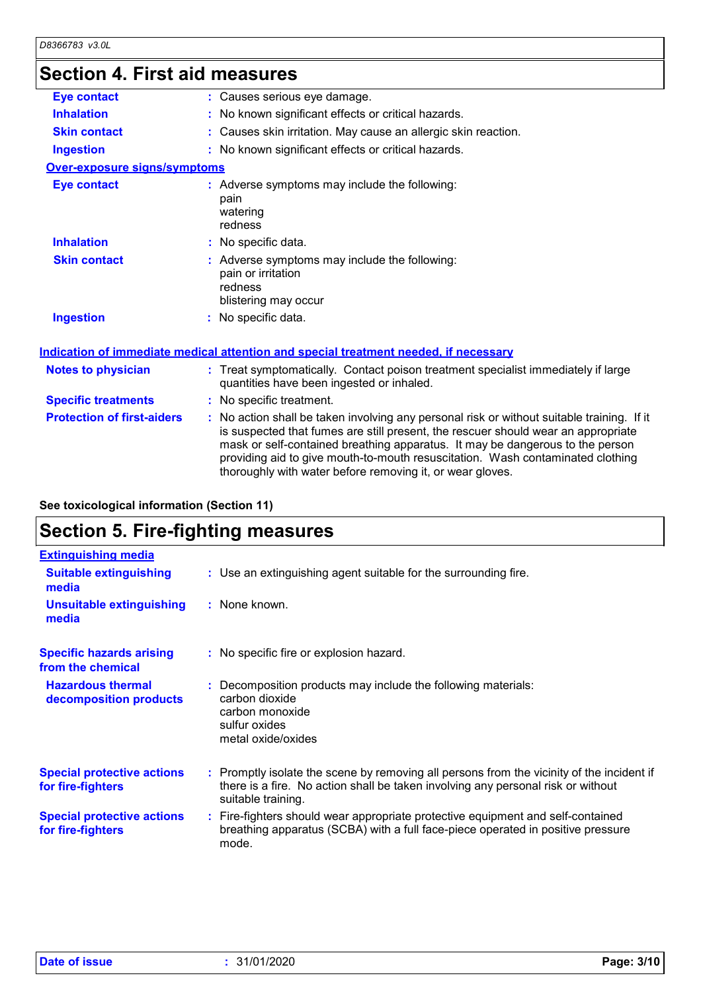### **Section 4. First aid measures**

| <b>Eye contact</b>                  | : Causes serious eye damage.                                                                                                                                                                                                                                                                                                                                                                                    |
|-------------------------------------|-----------------------------------------------------------------------------------------------------------------------------------------------------------------------------------------------------------------------------------------------------------------------------------------------------------------------------------------------------------------------------------------------------------------|
| <b>Inhalation</b>                   | : No known significant effects or critical hazards.                                                                                                                                                                                                                                                                                                                                                             |
| <b>Skin contact</b>                 | : Causes skin irritation. May cause an allergic skin reaction.                                                                                                                                                                                                                                                                                                                                                  |
| <b>Ingestion</b>                    | : No known significant effects or critical hazards.                                                                                                                                                                                                                                                                                                                                                             |
| <b>Over-exposure signs/symptoms</b> |                                                                                                                                                                                                                                                                                                                                                                                                                 |
| <b>Eye contact</b>                  | : Adverse symptoms may include the following:<br>pain<br>watering<br>redness                                                                                                                                                                                                                                                                                                                                    |
| <b>Inhalation</b>                   | : No specific data.                                                                                                                                                                                                                                                                                                                                                                                             |
| <b>Skin contact</b>                 | : Adverse symptoms may include the following:<br>pain or irritation<br>redness<br>blistering may occur                                                                                                                                                                                                                                                                                                          |
| <b>Ingestion</b>                    | : No specific data.                                                                                                                                                                                                                                                                                                                                                                                             |
|                                     | Indication of immediate medical attention and special treatment needed, if necessary                                                                                                                                                                                                                                                                                                                            |
| <b>Notes to physician</b>           | : Treat symptomatically. Contact poison treatment specialist immediately if large<br>quantities have been ingested or inhaled.                                                                                                                                                                                                                                                                                  |
| <b>Specific treatments</b>          | : No specific treatment.                                                                                                                                                                                                                                                                                                                                                                                        |
| <b>Protection of first-aiders</b>   | : No action shall be taken involving any personal risk or without suitable training. If it<br>is suspected that fumes are still present, the rescuer should wear an appropriate<br>mask or self-contained breathing apparatus. It may be dangerous to the person<br>providing aid to give mouth-to-mouth resuscitation. Wash contaminated clothing<br>thoroughly with water before removing it, or wear gloves. |

#### **See toxicological information (Section 11)**

### **Section 5. Fire-fighting measures**

| <b>Extinguishing media</b>                             |                                                                                                                                                                                                     |
|--------------------------------------------------------|-----------------------------------------------------------------------------------------------------------------------------------------------------------------------------------------------------|
| <b>Suitable extinguishing</b><br>media                 | : Use an extinguishing agent suitable for the surrounding fire.                                                                                                                                     |
| <b>Unsuitable extinguishing</b><br>media               | : None known.                                                                                                                                                                                       |
| <b>Specific hazards arising</b><br>from the chemical   | : No specific fire or explosion hazard.                                                                                                                                                             |
| <b>Hazardous thermal</b><br>decomposition products     | : Decomposition products may include the following materials:<br>carbon dioxide<br>carbon monoxide<br>sulfur oxides<br>metal oxide/oxides                                                           |
| <b>Special protective actions</b><br>for fire-fighters | : Promptly isolate the scene by removing all persons from the vicinity of the incident if<br>there is a fire. No action shall be taken involving any personal risk or without<br>suitable training. |
| <b>Special protective actions</b><br>for fire-fighters | : Fire-fighters should wear appropriate protective equipment and self-contained<br>breathing apparatus (SCBA) with a full face-piece operated in positive pressure<br>mode.                         |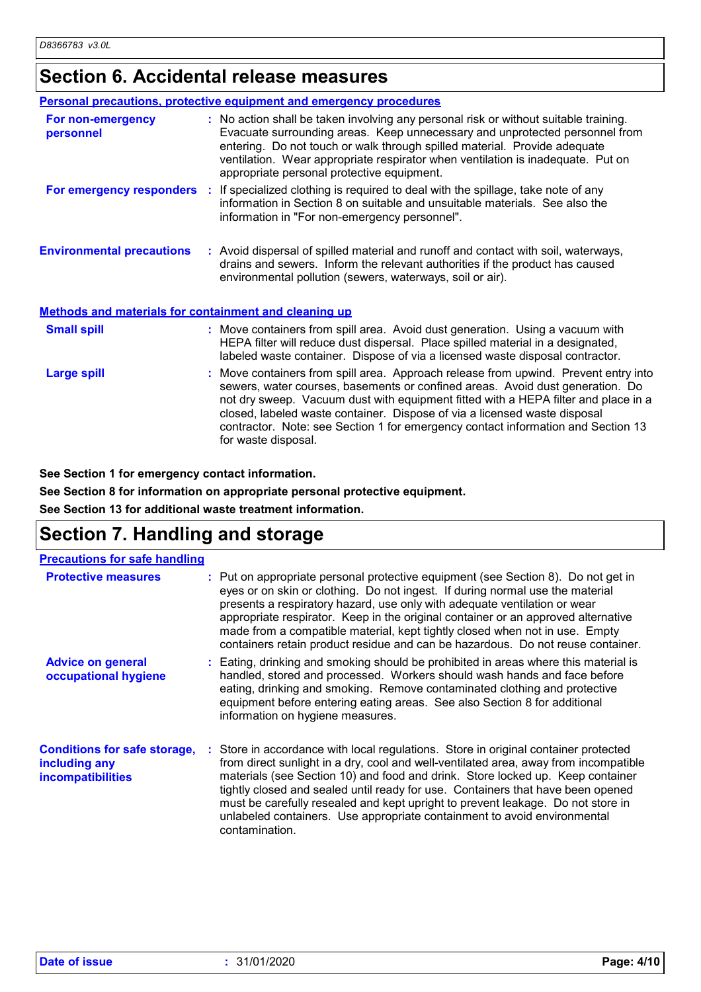### **Section 6. Accidental release measures**

|                                                              | <b>Personal precautions, protective equipment and emergency procedures</b>                                                                                                                                                                                                                                                                                                                                                                         |
|--------------------------------------------------------------|----------------------------------------------------------------------------------------------------------------------------------------------------------------------------------------------------------------------------------------------------------------------------------------------------------------------------------------------------------------------------------------------------------------------------------------------------|
| For non-emergency<br>personnel                               | : No action shall be taken involving any personal risk or without suitable training.<br>Evacuate surrounding areas. Keep unnecessary and unprotected personnel from<br>entering. Do not touch or walk through spilled material. Provide adequate<br>ventilation. Wear appropriate respirator when ventilation is inadequate. Put on<br>appropriate personal protective equipment.                                                                  |
|                                                              | <b>For emergency responders</b> : If specialized clothing is required to deal with the spillage, take note of any<br>information in Section 8 on suitable and unsuitable materials. See also the<br>information in "For non-emergency personnel".                                                                                                                                                                                                  |
| <b>Environmental precautions</b>                             | : Avoid dispersal of spilled material and runoff and contact with soil, waterways,<br>drains and sewers. Inform the relevant authorities if the product has caused<br>environmental pollution (sewers, waterways, soil or air).                                                                                                                                                                                                                    |
| <b>Methods and materials for containment and cleaning up</b> |                                                                                                                                                                                                                                                                                                                                                                                                                                                    |
| <b>Small spill</b>                                           | : Move containers from spill area. Avoid dust generation. Using a vacuum with<br>HEPA filter will reduce dust dispersal. Place spilled material in a designated,<br>labeled waste container. Dispose of via a licensed waste disposal contractor.                                                                                                                                                                                                  |
| <b>Large spill</b>                                           | : Move containers from spill area. Approach release from upwind. Prevent entry into<br>sewers, water courses, basements or confined areas. Avoid dust generation. Do<br>not dry sweep. Vacuum dust with equipment fitted with a HEPA filter and place in a<br>closed, labeled waste container. Dispose of via a licensed waste disposal<br>contractor. Note: see Section 1 for emergency contact information and Section 13<br>for waste disposal. |

**See Section 1 for emergency contact information.**

**See Section 8 for information on appropriate personal protective equipment.**

**See Section 13 for additional waste treatment information.**

### **Section 7. Handling and storage**

| <b>Precautions for safe handling</b>                                             |                                                                                                                                                                                                                                                                                                                                                                                                                                                                                                                                   |
|----------------------------------------------------------------------------------|-----------------------------------------------------------------------------------------------------------------------------------------------------------------------------------------------------------------------------------------------------------------------------------------------------------------------------------------------------------------------------------------------------------------------------------------------------------------------------------------------------------------------------------|
| <b>Protective measures</b>                                                       | : Put on appropriate personal protective equipment (see Section 8). Do not get in<br>eyes or on skin or clothing. Do not ingest. If during normal use the material<br>presents a respiratory hazard, use only with adequate ventilation or wear<br>appropriate respirator. Keep in the original container or an approved alternative<br>made from a compatible material, kept tightly closed when not in use. Empty<br>containers retain product residue and can be hazardous. Do not reuse container.                            |
| <b>Advice on general</b><br>occupational hygiene                                 | : Eating, drinking and smoking should be prohibited in areas where this material is<br>handled, stored and processed. Workers should wash hands and face before<br>eating, drinking and smoking. Remove contaminated clothing and protective<br>equipment before entering eating areas. See also Section 8 for additional<br>information on hygiene measures.                                                                                                                                                                     |
| <b>Conditions for safe storage,</b><br>including any<br><b>incompatibilities</b> | : Store in accordance with local regulations. Store in original container protected<br>from direct sunlight in a dry, cool and well-ventilated area, away from incompatible<br>materials (see Section 10) and food and drink. Store locked up. Keep container<br>tightly closed and sealed until ready for use. Containers that have been opened<br>must be carefully resealed and kept upright to prevent leakage. Do not store in<br>unlabeled containers. Use appropriate containment to avoid environmental<br>contamination. |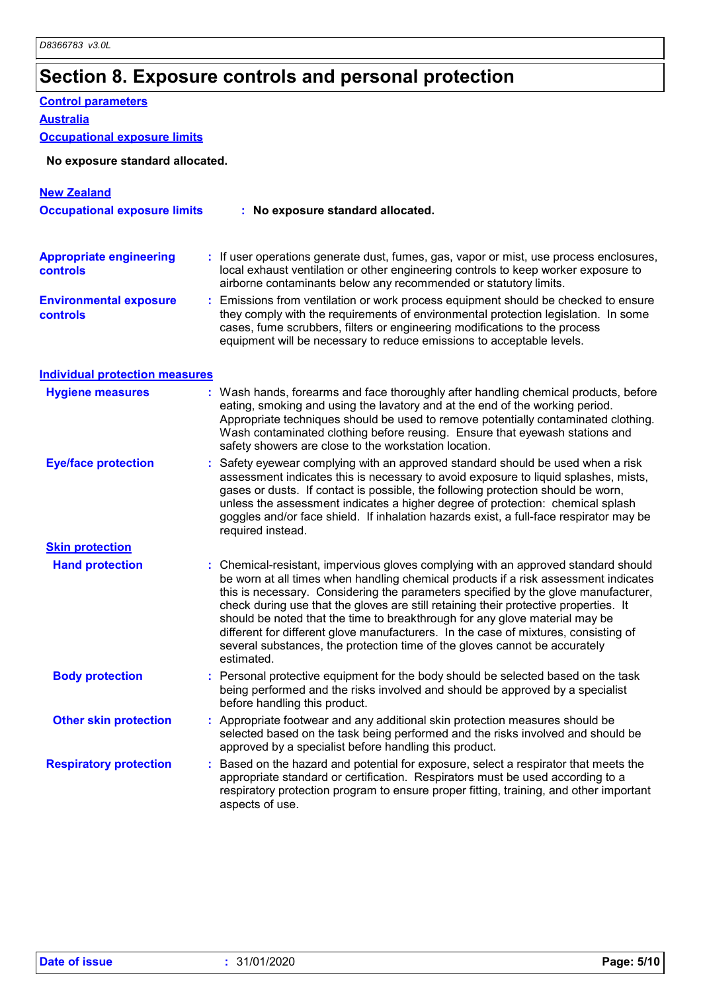### **Section 8. Exposure controls and personal protection**

#### **Control parameters**

**Australia**

#### **Occupational exposure limits**

#### **No exposure standard allocated.**

| <b>New Zealand</b>                                |                                                                                                                                                                                                                                                                                                                                                                                                                                                                                                                                                                                                                           |
|---------------------------------------------------|---------------------------------------------------------------------------------------------------------------------------------------------------------------------------------------------------------------------------------------------------------------------------------------------------------------------------------------------------------------------------------------------------------------------------------------------------------------------------------------------------------------------------------------------------------------------------------------------------------------------------|
| <b>Occupational exposure limits</b>               | : No exposure standard allocated.                                                                                                                                                                                                                                                                                                                                                                                                                                                                                                                                                                                         |
| <b>Appropriate engineering</b><br><b>controls</b> | : If user operations generate dust, fumes, gas, vapor or mist, use process enclosures,<br>local exhaust ventilation or other engineering controls to keep worker exposure to<br>airborne contaminants below any recommended or statutory limits.                                                                                                                                                                                                                                                                                                                                                                          |
| <b>Environmental exposure</b><br><b>controls</b>  | : Emissions from ventilation or work process equipment should be checked to ensure<br>they comply with the requirements of environmental protection legislation. In some<br>cases, fume scrubbers, filters or engineering modifications to the process<br>equipment will be necessary to reduce emissions to acceptable levels.                                                                                                                                                                                                                                                                                           |
| <b>Individual protection measures</b>             |                                                                                                                                                                                                                                                                                                                                                                                                                                                                                                                                                                                                                           |
| <b>Hygiene measures</b>                           | : Wash hands, forearms and face thoroughly after handling chemical products, before<br>eating, smoking and using the lavatory and at the end of the working period.<br>Appropriate techniques should be used to remove potentially contaminated clothing.<br>Wash contaminated clothing before reusing. Ensure that eyewash stations and<br>safety showers are close to the workstation location.                                                                                                                                                                                                                         |
| <b>Eye/face protection</b>                        | Safety eyewear complying with an approved standard should be used when a risk<br>assessment indicates this is necessary to avoid exposure to liquid splashes, mists,<br>gases or dusts. If contact is possible, the following protection should be worn,<br>unless the assessment indicates a higher degree of protection: chemical splash<br>goggles and/or face shield. If inhalation hazards exist, a full-face respirator may be<br>required instead.                                                                                                                                                                 |
| <b>Skin protection</b>                            |                                                                                                                                                                                                                                                                                                                                                                                                                                                                                                                                                                                                                           |
| <b>Hand protection</b>                            | : Chemical-resistant, impervious gloves complying with an approved standard should<br>be worn at all times when handling chemical products if a risk assessment indicates<br>this is necessary. Considering the parameters specified by the glove manufacturer,<br>check during use that the gloves are still retaining their protective properties. It<br>should be noted that the time to breakthrough for any glove material may be<br>different for different glove manufacturers. In the case of mixtures, consisting of<br>several substances, the protection time of the gloves cannot be accurately<br>estimated. |
| <b>Body protection</b>                            | : Personal protective equipment for the body should be selected based on the task<br>being performed and the risks involved and should be approved by a specialist<br>before handling this product.                                                                                                                                                                                                                                                                                                                                                                                                                       |
| <b>Other skin protection</b>                      | : Appropriate footwear and any additional skin protection measures should be<br>selected based on the task being performed and the risks involved and should be<br>approved by a specialist before handling this product.                                                                                                                                                                                                                                                                                                                                                                                                 |
| <b>Respiratory protection</b>                     | Based on the hazard and potential for exposure, select a respirator that meets the<br>appropriate standard or certification. Respirators must be used according to a<br>respiratory protection program to ensure proper fitting, training, and other important<br>aspects of use.                                                                                                                                                                                                                                                                                                                                         |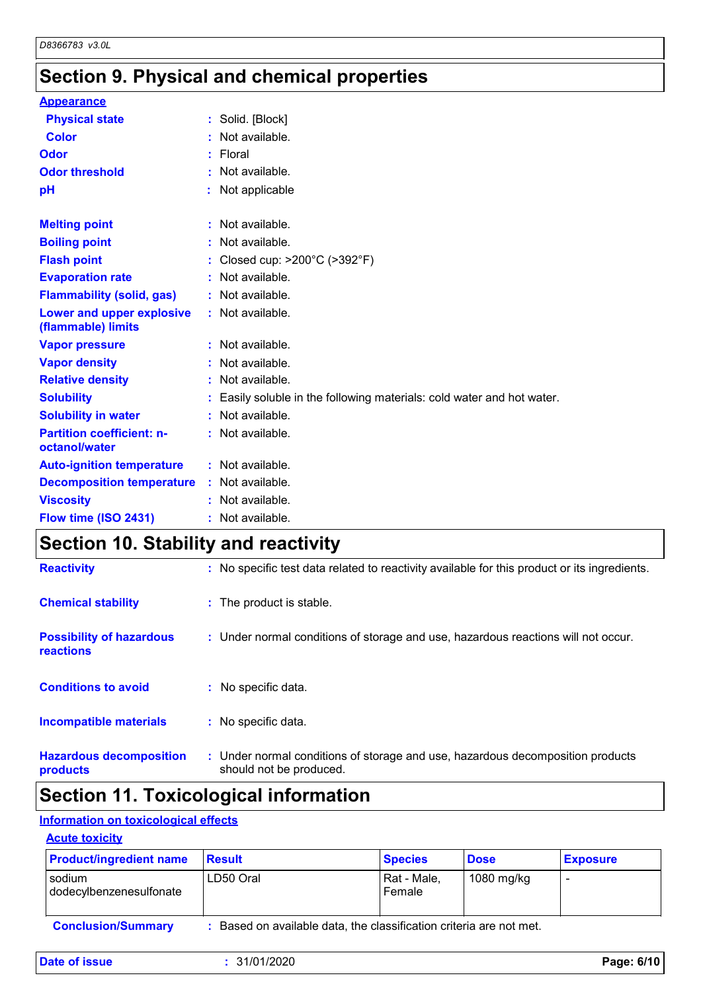### **Section 9. Physical and chemical properties**

| <b>Appearance</b>                                 |    |                                                                      |
|---------------------------------------------------|----|----------------------------------------------------------------------|
| <b>Physical state</b>                             |    | : Solid. [Block]                                                     |
| <b>Color</b>                                      |    | Not available.                                                       |
| Odor                                              |    | : Floral                                                             |
| <b>Odor threshold</b>                             | ÷. | Not available.                                                       |
| рH                                                |    | Not applicable                                                       |
| <b>Melting point</b>                              |    | : Not available.                                                     |
| <b>Boiling point</b>                              |    | : Not available.                                                     |
| <b>Flash point</b>                                | ÷. | Closed cup: $>200^{\circ}$ C ( $>392^{\circ}$ F)                     |
| <b>Evaporation rate</b>                           | t. | Not available.                                                       |
| <b>Flammability (solid, gas)</b>                  |    | : Not available.                                                     |
| Lower and upper explosive<br>(flammable) limits   |    | : Not available.                                                     |
| <b>Vapor pressure</b>                             |    | : Not available.                                                     |
| <b>Vapor density</b>                              |    | Not available.                                                       |
| <b>Relative density</b>                           |    | Not available.                                                       |
| <b>Solubility</b>                                 |    | Easily soluble in the following materials: cold water and hot water. |
| <b>Solubility in water</b>                        | t. | Not available.                                                       |
| <b>Partition coefficient: n-</b><br>octanol/water |    | : Not available.                                                     |
| <b>Auto-ignition temperature</b>                  |    | $:$ Not available.                                                   |
| <b>Decomposition temperature</b>                  |    | : Not available.                                                     |
| <b>Viscosity</b>                                  |    | Not available.                                                       |
| Flow time (ISO 2431)                              |    | Not available.                                                       |

### **Section 10. Stability and reactivity**

| <b>Hazardous decomposition</b><br>products   | : Under normal conditions of storage and use, hazardous decomposition products<br>should not be produced. |
|----------------------------------------------|-----------------------------------------------------------------------------------------------------------|
| <b>Incompatible materials</b>                | : No specific data.                                                                                       |
| <b>Conditions to avoid</b>                   | No specific data.                                                                                         |
| <b>Possibility of hazardous</b><br>reactions | : Under normal conditions of storage and use, hazardous reactions will not occur.                         |
| <b>Chemical stability</b>                    | : The product is stable.                                                                                  |
| <b>Reactivity</b>                            | : No specific test data related to reactivity available for this product or its ingredients.              |

### **Section 11. Toxicological information**

### **Information on toxicological effects**

#### **Acute toxicity**

| <b>Product/ingredient name</b>    | Result                                                            | <b>Species</b>        | <b>Dose</b> | <b>Exposure</b> |
|-----------------------------------|-------------------------------------------------------------------|-----------------------|-------------|-----------------|
| sodium<br>dodecylbenzenesulfonate | LD50 Oral                                                         | Rat - Male,<br>Female | 1080 mg/kg  |                 |
| <b>Conclusion/Summary</b>         | Based on available data, the classification criteria are not met. |                       |             |                 |

| Date of issue | 31/01/2020 | Page: 6/10 |
|---------------|------------|------------|
|               |            |            |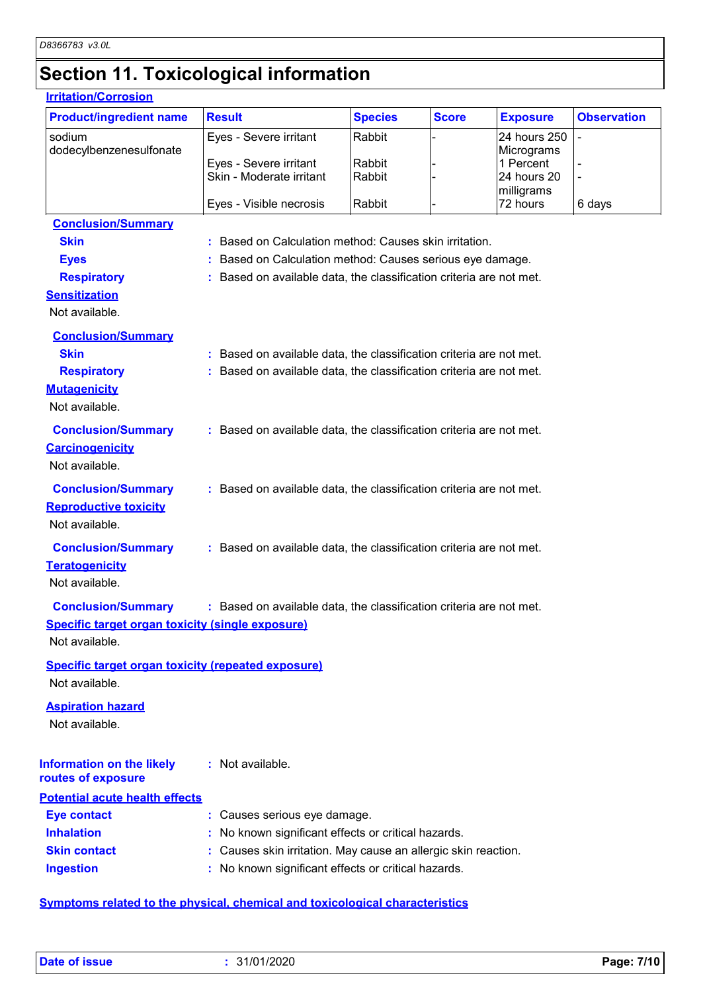### **Section 11. Toxicological information**

#### **Carcinogenicity** Not available. **Conclusion/Summary :** Based on available data, the classification criteria are not met. **Mutagenicity** Not available. **Conclusion/Summary :** Based on available data, the classification criteria are not met. **Teratogenicity** Not available. **Conclusion/Summary :** Based on available data, the classification criteria are not met. **Reproductive toxicity Conclusion/Summary :** Based on available data, the classification criteria are not met. Not available. **Irritation/Corrosion** sodium dodecylbenzenesulfonate Eyes - Severe irritant Rabbit - 24 hours 250 **Micrograms** Eyes - Severe irritant Rabbit - 1 Percent - 1 Percent - 1 Percent - 1 Percent - 1 Percent - 1 Percent - 1 Percent - 1 Percent - 1 Percent - 1 Percent - 1 Percent - 1 Percent - 1 Percent - 1 Percent - 1 Percent - 1 Percent Skin - Moderate irritant - Rabbit milligrams<br>72 hours Eyes - Visible necrosis  $\begin{array}{ccc} \text{Rabbit} & - & 72 \text{ hours} & 6 \text{ days} \end{array}$ **Product/ingredient name** Result **Result All Species Score Exposure Observation Conclusion/Summary Skin Example 3 :** Based on Calculation method: Causes skin irritation. **Eyes Exercise Exercise 1 Exercise 2 :** Based on Calculation method: Causes serious eye damage. **Respiratory <b>:** Based on available data, the classification criteria are not met. **Sensitization** Not available. **Conclusion/Summary Skin Example 20 :** Based on available data, the classification criteria are not met. **Respiratory :** Based on available data, the classification criteria are not met. **Species Information on the likely routes of exposure Specific target organ toxicity (single exposure) Specific target organ toxicity (repeated exposure)** Not available. Not available. **Aspiration hazard** Not available. **:** Not available. **Potential acute health effects**

| <b>Eye contact</b>  | : Causes serious eye damage.                                   |
|---------------------|----------------------------------------------------------------|
| <b>Inhalation</b>   | : No known significant effects or critical hazards.            |
| <b>Skin contact</b> | : Causes skin irritation. May cause an allergic skin reaction. |
| <b>Ingestion</b>    | : No known significant effects or critical hazards.            |

#### **Symptoms related to the physical, chemical and toxicological characteristics**

-

-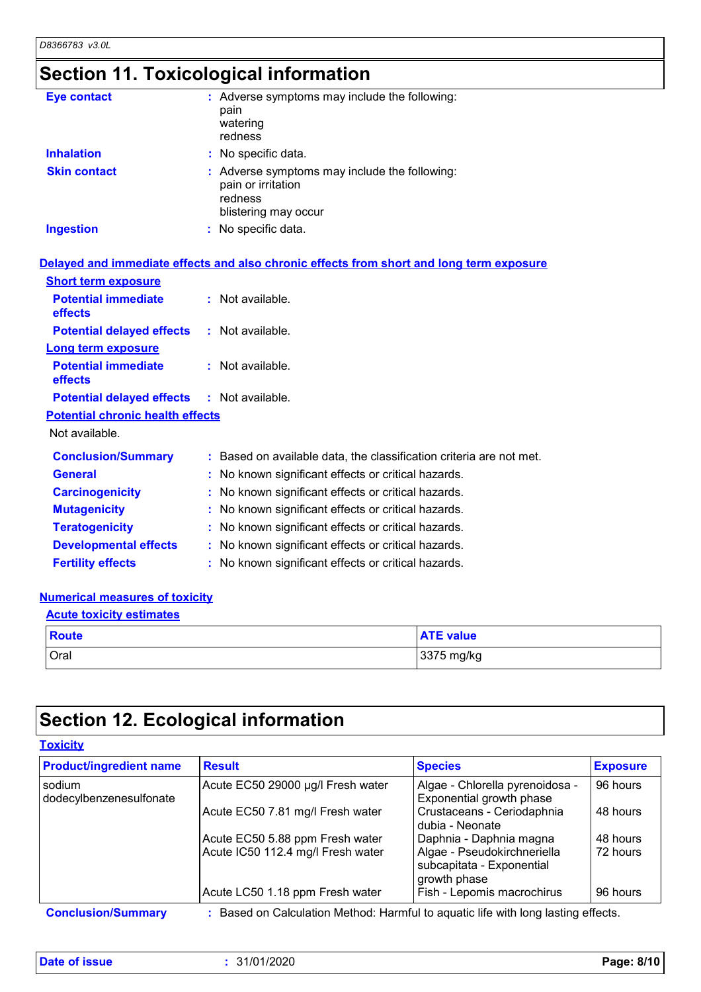### **Section 11. Toxicological information**

| <b>Eye contact</b>  | : Adverse symptoms may include the following:<br>pain<br>watering<br>redness                           |
|---------------------|--------------------------------------------------------------------------------------------------------|
| <b>Inhalation</b>   | : No specific data.                                                                                    |
| <b>Skin contact</b> | : Adverse symptoms may include the following:<br>pain or irritation<br>redness<br>blistering may occur |
| <b>Ingestion</b>    | : No specific data.                                                                                    |

#### Not available. **Conclusion/Summary :** Based on available data, the classification criteria are not met. **General :** No known significant effects or critical hazards. **Carcinogenicity :** No known significant effects or critical hazards. **Mutagenicity :** No known significant effects or critical hazards. **Teratogenicity :** No known significant effects or critical hazards. **Developmental effects :** No known significant effects or critical hazards. **Potential chronic health effects Delayed and immediate effects and also chronic effects from short and long term exposure Potential immediate effects :** Not available. **Short term exposure Potential delayed effects :** Not available. **Potential immediate effects :** Not available. **Long term exposure Potential delayed effects :** Not available.

**Fertility effects :** No known significant effects or critical hazards.

#### **Numerical measures of toxicity**

### Oral 3375 mg/kg **Route ATE value Acute toxicity estimates**

### **Section 12. Ecological information**

#### **Toxicity**

| <b>Product/ingredient name</b>    | <b>Result</b>                                                        | <b>Species</b>                                                                                      | <b>Exposure</b>      |
|-----------------------------------|----------------------------------------------------------------------|-----------------------------------------------------------------------------------------------------|----------------------|
| sodium<br>dodecylbenzenesulfonate | Acute EC50 29000 µg/l Fresh water                                    | Algae - Chlorella pyrenoidosa -<br>Exponential growth phase                                         | 96 hours             |
|                                   | Acute EC50 7.81 mg/l Fresh water                                     | Crustaceans - Ceriodaphnia<br>dubia - Neonate                                                       | 48 hours             |
|                                   | Acute EC50 5.88 ppm Fresh water<br>Acute IC50 112.4 mg/l Fresh water | Daphnia - Daphnia magna<br>Algae - Pseudokirchneriella<br>subcapitata - Exponential<br>growth phase | 48 hours<br>72 hours |
|                                   | Acute LC50 1.18 ppm Fresh water                                      | Fish - Lepomis macrochirus                                                                          | 96 hours             |

**Date of issue :** 31/01/2020 **Page: 8/10**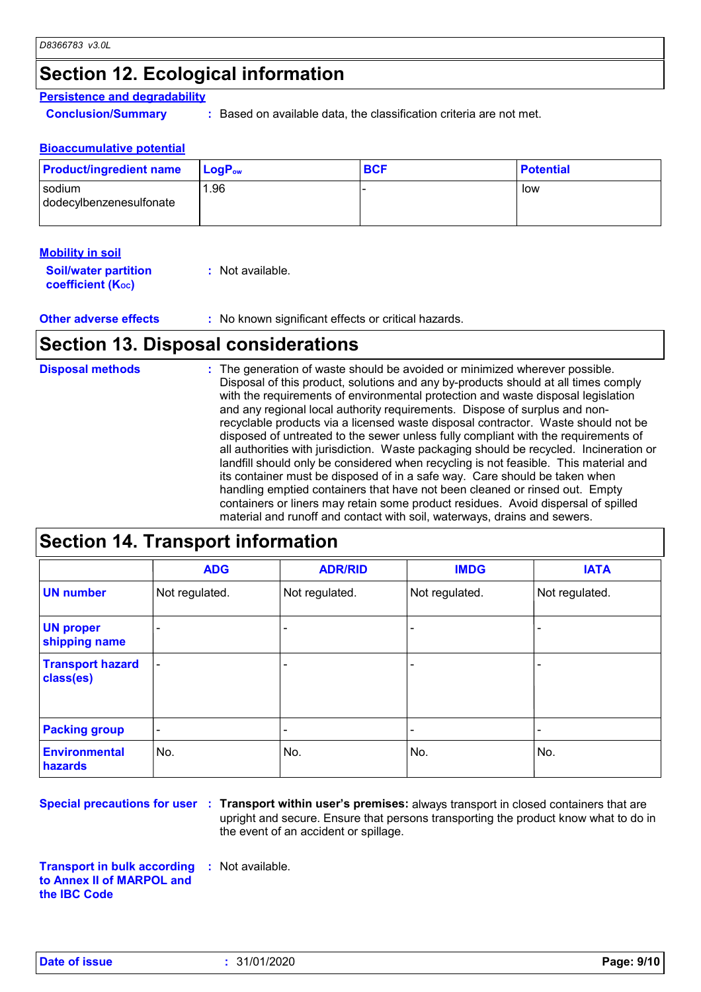### **Section 12. Ecological information**

#### **Persistence and degradability**

**Conclusion/Summary :** Based on available data, the classification criteria are not met.

#### **Bioaccumulative potential**

| <b>Product/ingredient name</b>    | $LogP_{ow}$ | <b>BCF</b> | <b>Potential</b> |
|-----------------------------------|-------------|------------|------------------|
| sodium<br>dodecylbenzenesulfonate | <b>1.96</b> |            | low              |

#### **Mobility in soil**

| <b>Soil/water partition</b> | : Not available. |
|-----------------------------|------------------|
| <b>coefficient (Koc)</b>    |                  |

**Other adverse effects** : No known significant effects or critical hazards.

### **Section 13. Disposal considerations**

| <b>Disposal methods</b> | : The generation of waste should be avoided or minimized wherever possible.<br>Disposal of this product, solutions and any by-products should at all times comply<br>with the requirements of environmental protection and waste disposal legislation<br>and any regional local authority requirements. Dispose of surplus and non-<br>recyclable products via a licensed waste disposal contractor. Waste should not be<br>disposed of untreated to the sewer unless fully compliant with the requirements of<br>all authorities with jurisdiction. Waste packaging should be recycled. Incineration or<br>landfill should only be considered when recycling is not feasible. This material and<br>its container must be disposed of in a safe way. Care should be taken when<br>handling emptied containers that have not been cleaned or rinsed out. Empty<br>containers or liners may retain some product residues. Avoid dispersal of spilled |
|-------------------------|----------------------------------------------------------------------------------------------------------------------------------------------------------------------------------------------------------------------------------------------------------------------------------------------------------------------------------------------------------------------------------------------------------------------------------------------------------------------------------------------------------------------------------------------------------------------------------------------------------------------------------------------------------------------------------------------------------------------------------------------------------------------------------------------------------------------------------------------------------------------------------------------------------------------------------------------------|
|                         | material and runoff and contact with soil, waterways, drains and sewers.                                                                                                                                                                                                                                                                                                                                                                                                                                                                                                                                                                                                                                                                                                                                                                                                                                                                           |

### **Section 14. Transport information**

|                                      | <b>ADG</b>               | <b>ADR/RID</b>           | <b>IMDG</b>    | <b>IATA</b>    |
|--------------------------------------|--------------------------|--------------------------|----------------|----------------|
| <b>UN number</b>                     | Not regulated.           | Not regulated.           | Not regulated. | Not regulated. |
| <b>UN proper</b><br>shipping name    |                          |                          |                |                |
| <b>Transport hazard</b><br>class(es) | -                        |                          |                |                |
| <b>Packing group</b>                 | $\overline{\phantom{a}}$ | $\overline{\phantom{0}}$ |                |                |
| <b>Environmental</b><br>hazards      | No.                      | No.                      | No.            | No.            |

**Special precautions for user** : Transport within user's premises: always transport in closed containers that are upright and secure. Ensure that persons transporting the product know what to do in the event of an accident or spillage.

**Transport in bulk according :** Not available. **to Annex II of MARPOL and the IBC Code**